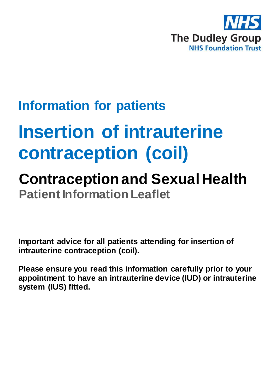

# **Information for patients**

# **Insertion of intrauterine contraception (coil)**

## **Contraception and Sexual Health Patient Information Leaflet**

**Important advice for all patients attending for insertion of intrauterine contraception (coil).**

**Please ensure you read this information carefully prior to your appointment to have an intrauterine device (IUD) or intrauterine system (IUS) fitted.**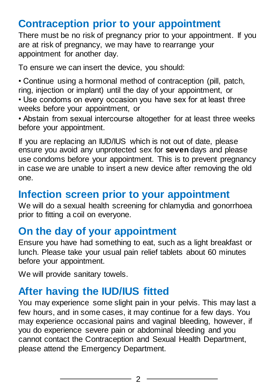## **Contraception prior to your appointment**

There must be no risk of pregnancy prior to your appointment. If you are at risk of pregnancy, we may have to rearrange your appointment for another day.

To ensure we can insert the device, you should:

• Continue using a hormonal method of contraception (pill, patch, ring, injection or implant) until the day of your appointment, or

• Use condoms on every occasion you have sex for at least three weeks before your appointment, or

• Abstain from sexual intercourse altogether for at least three weeks before your appointment.

If you are replacing an IUD/IUS which is not out of date, please ensure you avoid any unprotected sex for **seven** days and please use condoms before your appointment. This is to prevent pregnancy in case we are unable to insert a new device after removing the old one.

#### **Infection screen prior to your appointment**

We will do a sexual health screening for chlamydia and gonorrhoea prior to fitting a coil on everyone.

#### **On the day of your appointment**

Ensure you have had something to eat, such as a light breakfast or lunch. Please take your usual pain relief tablets about 60 minutes before your appointment.

We will provide sanitary towels.

## **After having the IUD/IUS fitted**

You may experience some slight pain in your pelvis. This may last a few hours, and in some cases, it may continue for a few days. You may experience occasional pains and vaginal bleeding, however, if you do experience severe pain or abdominal bleeding and you cannot contact the Contraception and Sexual Health Department, please attend the Emergency Department.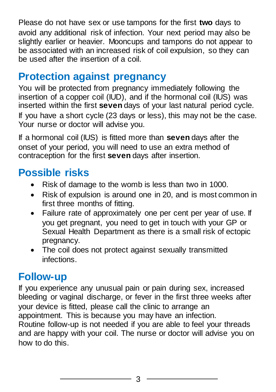Please do not have sex or use tampons for the first **two** days to avoid any additional risk of infection. Your next period may also be slightly earlier or heavier. Mooncups and tampons do not appear to be associated with an increased risk of coil expulsion, so they can be used after the insertion of a coil.

## **Protection against pregnancy**

You will be protected from pregnancy immediately following the insertion of a copper coil (IUD), and if the hormonal coil (IUS) was inserted within the first **seven** days of your last natural period cycle. If you have a short cycle (23 days or less), this may not be the case. Your nurse or doctor will advise you.

If a hormonal coil (IUS) is fitted more than **seven** days after the onset of your period, you will need to use an extra method of contraception for the first **seven** days after insertion.

## **Possible risks**

- Risk of damage to the womb is less than two in 1000.
- Risk of expulsion is around one in 20, and is most common in first three months of fitting.
- Failure rate of approximately one per cent per year of use. If you get pregnant, you need to get in touch with your GP or Sexual Health Department as there is a small risk of ectopic pregnancy.
- The coil does not protect against sexually transmitted infections.

## **Follow-up**

If you experience any unusual pain or pain during sex, increased bleeding or vaginal discharge, or fever in the first three weeks after your device is fitted, please call the clinic to arrange an appointment. This is because you may have an infection. Routine follow-up is not needed if you are able to feel your threads and are happy with your coil. The nurse or doctor will advise you on how to do this.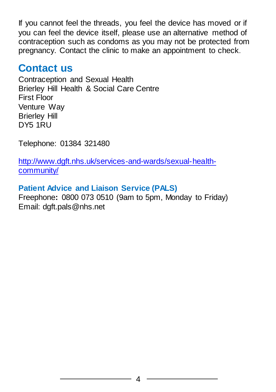If you cannot feel the threads, you feel the device has moved or if you can feel the device itself, please use an alternative method of contraception such as condoms as you may not be protected from pregnancy. Contact the clinic to make an appointment to check.

#### **Contact us**

Contraception and Sexual Health Brierley Hill Health & Social Care Centre First Floor Venture Way Brierley Hill DY5 1RU

Telephone: 01384 321480

[http://www.dgft.nhs.uk/services-and-wards/sexual-health](http://www.dgft.nhs.uk/services-and-wards/sexual-health-community/)[community/](http://www.dgft.nhs.uk/services-and-wards/sexual-health-community/)

#### **Patient Advice and Liaison Service (PALS)**

Freephone**:** 0800 073 0510 (9am to 5pm, Monday to Friday) Email: dgft.pals@nhs.net